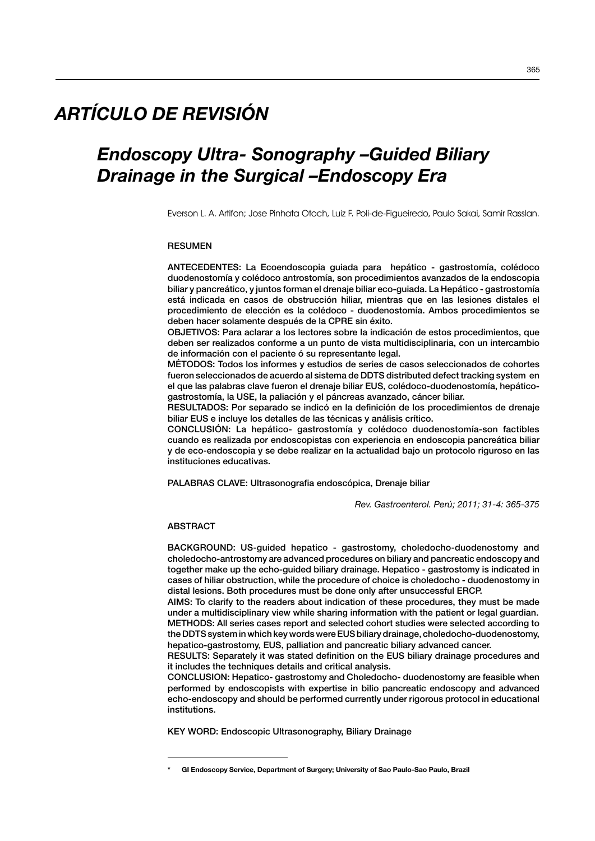# *ARTÍCULO DE REVISIÓN*

# *Endoscopy Ultra- Sonography –Guided Biliary Drainage in the Surgical –Endoscopy Era*

Everson L. A. Artifon; Jose Pinhata Otoch, Luiz F. Poli-de-Figueiredo, Paulo Sakai, Samir Rasslan.

## RESUMEN

ANTECEDENTES: La Ecoendoscopia guiada para hepático - gastrostomía, colédoco duodenostomía y colédoco antrostomía, son procedimientos avanzados de la endoscopia biliar y pancreático, y juntos forman el drenaje biliar eco-guiada. La Hepático - gastrostomía está indicada en casos de obstrucción hiliar, mientras que en las lesiones distales el procedimiento de elección es la colédoco - duodenostomía. Ambos procedimientos se deben hacer solamente después de la CPRE sin éxito.

OBJETIVOS: Para aclarar a los lectores sobre la indicación de estos procedimientos, que deben ser realizados conforme a un punto de vista multidisciplinaria, con un intercambio de información con el paciente ó su representante legal.

MÉTODOS: Todos los informes y estudios de series de casos seleccionados de cohortes fueron seleccionados de acuerdo al sistema de DDTS distributed defect tracking system en el que las palabras clave fueron el drenaje biliar EUS, colédoco-duodenostomía, hepáticogastrostomía, la USE, la paliación y el páncreas avanzado, cáncer biliar.

RESULTADOS: Por separado se indicó en la definición de los procedimientos de drenaje biliar EUS e incluye los detalles de las técnicas y análisis crítico.

CONCLUSIÓN: La hepático- gastrostomía y colédoco duodenostomía-son factibles cuando es realizada por endoscopistas con experiencia en endoscopia pancreática biliar y de eco-endoscopia y se debe realizar en la actualidad bajo un protocolo riguroso en las instituciones educativas.

PALABRAS CLAVE: Ultrasonografia endoscópica, Drenaje biliar

*Rev. Gastroenterol. Perú; 2011; 31-4: 365-375*

## ABSTRACT

BACKGROUND: US-guided hepatico - gastrostomy, choledocho-duodenostomy and choledocho-antrostomy are advanced procedures on biliary and pancreatic endoscopy and together make up the echo-guided biliary drainage. Hepatico - gastrostomy is indicated in cases of hiliar obstruction, while the procedure of choice is choledocho - duodenostomy in distal lesions. Both procedures must be done only after unsuccessful ERCP.

AIMS: To clarify to the readers about indication of these procedures, they must be made under a multidisciplinary view while sharing information with the patient or legal guardian. METHODS: All series cases report and selected cohort studies were selected according to the DDTS system in which key words were EUS biliary drainage, choledocho-duodenostomy, hepatico-gastrostomy, EUS, palliation and pancreatic biliary advanced cancer.

RESULTS: Separately it was stated definition on the EUS biliary drainage procedures and it includes the techniques details and critical analysis.

CONCLUSION: Hepatico- gastrostomy and Choledocho- duodenostomy are feasible when performed by endoscopists with expertise in bilio pancreatic endoscopy and advanced echo-endoscopy and should be performed currently under rigorous protocol in educational institutions.

KEY WORD: Endoscopic Ultrasonography, Biliary Drainage

GI Endoscopy Service, Department of Surgery; University of Sao Paulo-Sao Paulo, Brazil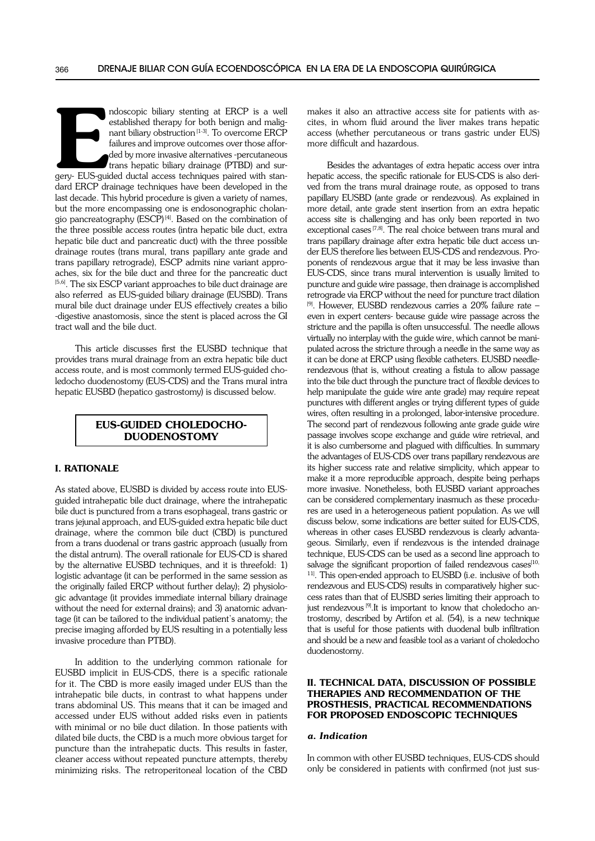mdoscopic biliary stenting at ERCP is a well<br>established therapy for both benign and malig-<br>nant biliary obstruction<sup>[1-3]</sup>. To overcome ERCP<br>failures and improve outcomes over those affor-<br>ded by more invasive alternative ndoscopic biliary stenting at ERCP is a well established therapy for both benign and malignant biliary obstruction<sup>[1-3]</sup>. To overcome ERCP failures and improve outcomes over those afforded by more invasive alternatives -percutaneous trans hepatic biliary drainage (PTBD) and surdard ERCP drainage techniques have been developed in the last decade. This hybrid procedure is given a variety of names, but the more encompassing one is endosonographic cholangio pancreatography (ESCP)<sup>[4]</sup>. Based on the combination of the three possible access routes (intra hepatic bile duct, extra hepatic bile duct and pancreatic duct) with the three possible drainage routes (trans mural, trans papillary ante grade and trans papillary retrograde), ESCP admits nine variant approaches, six for the bile duct and three for the pancreatic duct [5,6]. The six ESCP variant approaches to bile duct drainage are also referred as EUS-guided biliary drainage (EUSBD). Trans mural bile duct drainage under EUS effectively creates a bilio -digestive anastomosis, since the stent is placed across the GI tract wall and the bile duct.

This article discusses first the EUSBD technique that provides trans mural drainage from an extra hepatic bile duct access route, and is most commonly termed EUS-guided choledocho duodenostomy (EUS-CDS) and the Trans mural intra hepatic EUSBD (hepatico gastrostomy) is discussed below.

## EUS-guided Choledochoduodenostomy

## I. Rationale

As stated above, EUSBD is divided by access route into EUSguided intrahepatic bile duct drainage, where the intrahepatic bile duct is punctured from a trans esophageal, trans gastric or trans jejunal approach, and EUS-guided extra hepatic bile duct drainage, where the common bile duct (CBD) is punctured from a trans duodenal or trans gastric approach (usually from the distal antrum). The overall rationale for EUS-CD is shared by the alternative EUSBD techniques, and it is threefold: 1) logistic advantage (it can be performed in the same session as the originally failed ERCP without further delay); 2) physiologic advantage (it provides immediate internal biliary drainage without the need for external drains); and 3) anatomic advantage (it can be tailored to the individual patient's anatomy; the precise imaging afforded by EUS resulting in a potentially less invasive procedure than PTBD).

In addition to the underlying common rationale for EUSBD implicit in EUS-CDS, there is a specific rationale for it. The CBD is more easily imaged under EUS than the intrahepatic bile ducts, in contrast to what happens under trans abdominal US. This means that it can be imaged and accessed under EUS without added risks even in patients with minimal or no bile duct dilation. In those patients with dilated bile ducts, the CBD is a much more obvious target for puncture than the intrahepatic ducts. This results in faster, cleaner access without repeated puncture attempts, thereby minimizing risks. The retroperitoneal location of the CBD

makes it also an attractive access site for patients with ascites, in whom fluid around the liver makes trans hepatic access (whether percutaneous or trans gastric under EUS) more difficult and hazardous.

Besides the advantages of extra hepatic access over intra hepatic access, the specific rationale for EUS-CDS is also derived from the trans mural drainage route, as opposed to trans papillary EUSBD (ante grade or rendezvous). As explained in more detail, ante grade stent insertion from an extra hepatic access site is challenging and has only been reported in two exceptional cases<sup>[7,8]</sup>. The real choice between trans mural and trans papillary drainage after extra hepatic bile duct access under EUS therefore lies between EUS-CDS and rendezvous. Proponents of rendezvous argue that it may be less invasive than EUS-CDS, since trans mural intervention is usually limited to puncture and guide wire passage, then drainage is accomplished retrograde via ERCP without the need for puncture tract dilation [9]. However, EUSBD rendezvous carries a 20% failure rate – even in expert centers- because guide wire passage across the stricture and the papilla is often unsuccessful. The needle allows virtually no interplay with the guide wire, which cannot be manipulated across the stricture through a needle in the same way as it can be done at ERCP using flexible catheters. EUSBD needlerendezvous (that is, without creating a fistula to allow passage into the bile duct through the puncture tract of flexible devices to help manipulate the guide wire ante grade) may require repeat punctures with different angles or trying different types of guide wires, often resulting in a prolonged, labor-intensive procedure. The second part of rendezvous following ante grade guide wire passage involves scope exchange and guide wire retrieval, and it is also cumbersome and plagued with difficulties. In summary the advantages of EUS-CDS over trans papillary rendezvous are its higher success rate and relative simplicity, which appear to make it a more reproducible approach, despite being perhaps more invasive. Nonetheless, both EUSBD variant approaches can be considered complementary inasmuch as these procedures are used in a heterogeneous patient population. As we will discuss below, some indications are better suited for EUS-CDS, whereas in other cases EUSBD rendezvous is clearly advantageous. Similarly, even if rendezvous is the intended drainage technique, EUS-CDS can be used as a second line approach to salvage the significant proportion of failed rendezvous cases $[10, 10]$ <sup>11]</sup>. This open-ended approach to EUSBD (i.e. inclusive of both rendezvous and EUS-CDS) results in comparatively higher success rates than that of EUSBD series limiting their approach to just rendezvous<sup>[9]</sup>.It is important to know that choledocho antrostomy, described by Artifon et al. (54), is a new technique that is useful for those patients with duodenal bulb infiltration and should be a new and feasible tool as a variant of choledocho duodenostomy.

## II. Technical data, discussion of possible therapies and recommendation of the prosthesis, practical recommendations for proposed endoscopic techniques

#### *a. Indication*

In common with other EUSBD techniques, EUS-CDS should only be considered in patients with confirmed (not just sus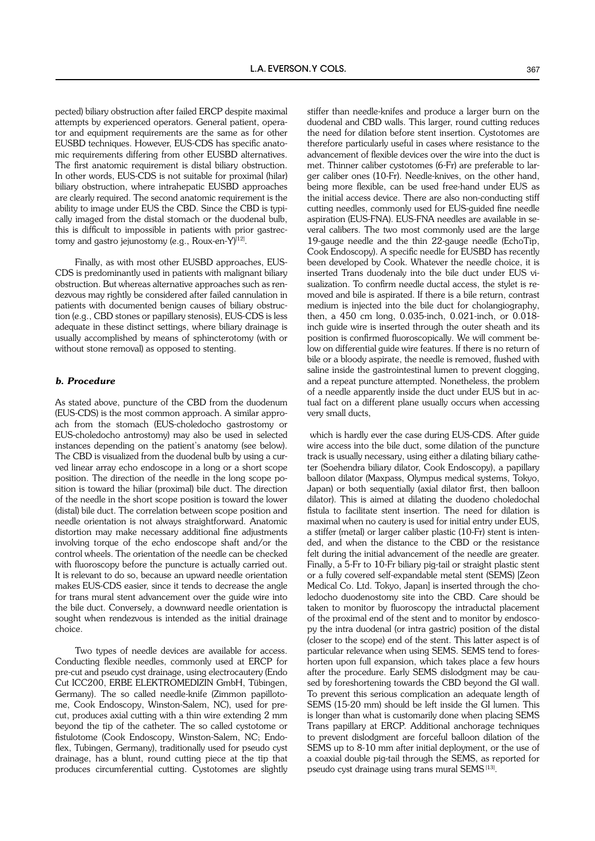pected) biliary obstruction after failed ERCP despite maximal attempts by experienced operators. General patient, operator and equipment requirements are the same as for other EUSBD techniques. However, EUS-CDS has specific anatomic requirements differing from other EUSBD alternatives. The first anatomic requirement is distal biliary obstruction. In other words, EUS-CDS is not suitable for proximal (hilar) biliary obstruction, where intrahepatic EUSBD approaches are clearly required. The second anatomic requirement is the ability to image under EUS the CBD. Since the CBD is typically imaged from the distal stomach or the duodenal bulb, this is difficult to impossible in patients with prior gastrectomy and gastro jejunostomy (e.g., Roux-en-Y)<sup>[12]</sup>.

Finally, as with most other EUSBD approaches, EUS-CDS is predominantly used in patients with malignant biliary obstruction. But whereas alternative approaches such as rendezvous may rightly be considered after failed cannulation in patients with documented benign causes of biliary obstruction (e.g., CBD stones or papillary stenosis), EUS-CDS is less adequate in these distinct settings, where biliary drainage is usually accomplished by means of sphincterotomy (with or without stone removal) as opposed to stenting.

### *b. Procedure*

As stated above, puncture of the CBD from the duodenum (EUS-CDS) is the most common approach. A similar approach from the stomach (EUS-choledocho gastrostomy or EUS-choledocho antrostomy) may also be used in selected instances depending on the patient's anatomy (see below). The CBD is visualized from the duodenal bulb by using a curved linear array echo endoscope in a long or a short scope position. The direction of the needle in the long scope position is toward the hiliar (proximal) bile duct. The direction of the needle in the short scope position is toward the lower (distal) bile duct. The correlation between scope position and needle orientation is not always straightforward. Anatomic distortion may make necessary additional fine adjustments involving torque of the echo endoscope shaft and/or the control wheels. The orientation of the needle can be checked with fluoroscopy before the puncture is actually carried out. It is relevant to do so, because an upward needle orientation makes EUS-CDS easier, since it tends to decrease the angle for trans mural stent advancement over the guide wire into the bile duct. Conversely, a downward needle orientation is sought when rendezvous is intended as the initial drainage choice.

Two types of needle devices are available for access. Conducting flexible needles, commonly used at ERCP for pre-cut and pseudo cyst drainage, using electrocautery (Endo Cut ICC200, ERBE ELEKTROMEDIZIN GmbH, Tübingen, Germany). The so called needle-knife (Zimmon papillotome, Cook Endoscopy, Winston-Salem, NC), used for precut, produces axial cutting with a thin wire extending 2 mm beyond the tip of the catheter. The so called cystotome or fistulotome (Cook Endoscopy, Winston-Salem, NC; Endoflex, Tubingen, Germany), traditionally used for pseudo cyst drainage, has a blunt, round cutting piece at the tip that produces circumferential cutting. Cystotomes are slightly

stiffer than needle-knifes and produce a larger burn on the duodenal and CBD walls. This larger, round cutting reduces the need for dilation before stent insertion. Cystotomes are therefore particularly useful in cases where resistance to the advancement of flexible devices over the wire into the duct is met. Thinner caliber cystotomes (6-Fr) are preferable to larger caliber ones (10-Fr). Needle-knives, on the other hand, being more flexible, can be used free-hand under EUS as the initial access device. There are also non-conducting stiff cutting needles, commonly used for EUS-guided fine needle aspiration (EUS-FNA). EUS-FNA needles are available in several calibers. The two most commonly used are the large 19-gauge needle and the thin 22-gauge needle (EchoTip, Cook Endoscopy). A specific needle for EUSBD has recently been developed by Cook. Whatever the needle choice, it is inserted Trans duodenaly into the bile duct under EUS visualization. To confirm needle ductal access, the stylet is removed and bile is aspirated. If there is a bile return, contrast medium is injected into the bile duct for cholangiography, then, a 450 cm long, 0.035-inch, 0.021-inch, or 0.018 inch guide wire is inserted through the outer sheath and its position is confirmed fluoroscopically. We will comment below on differential guide wire features. If there is no return of bile or a bloody aspirate, the needle is removed, flushed with saline inside the gastrointestinal lumen to prevent clogging. and a repeat puncture attempted. Nonetheless, the problem of a needle apparently inside the duct under EUS but in actual fact on a different plane usually occurs when accessing very small ducts,

 which is hardly ever the case during EUS-CDS. After guide wire access into the bile duct, some dilation of the puncture track is usually necessary, using either a dilating biliary catheter (Soehendra biliary dilator, Cook Endoscopy), a papillary balloon dilator (Maxpass, Olympus medical systems, Tokyo, Japan) or both sequentially (axial dilator first, then balloon dilator). This is aimed at dilating the duodeno choledochal fistula to facilitate stent insertion. The need for dilation is maximal when no cautery is used for initial entry under EUS, a stiffer (metal) or larger caliber plastic (10-Fr) stent is intended, and when the distance to the CBD or the resistance felt during the initial advancement of the needle are greater. Finally, a 5-Fr to 10-Fr biliary pig-tail or straight plastic stent or a fully covered self-expandable metal stent (SEMS) [Zeon Medical Co. Ltd. Tokyo, Japan] is inserted through the choledocho duodenostomy site into the CBD. Care should be taken to monitor by fluoroscopy the intraductal placement of the proximal end of the stent and to monitor by endoscopy the intra duodenal (or intra gastric) position of the distal (closer to the scope) end of the stent. This latter aspect is of particular relevance when using SEMS. SEMS tend to foreshorten upon full expansion, which takes place a few hours after the procedure. Early SEMS dislodgment may be caused by foreshortening towards the CBD beyond the GI wall. To prevent this serious complication an adequate length of SEMS (15-20 mm) should be left inside the GI lumen. This is longer than what is customarily done when placing SEMS Trans papillary at ERCP. Additional anchorage techniques to prevent dislodgment are forceful balloon dilation of the SEMS up to 8-10 mm after initial deployment, or the use of a coaxial double pig-tail through the SEMS, as reported for pseudo cyst drainage using trans mural SEMS [13].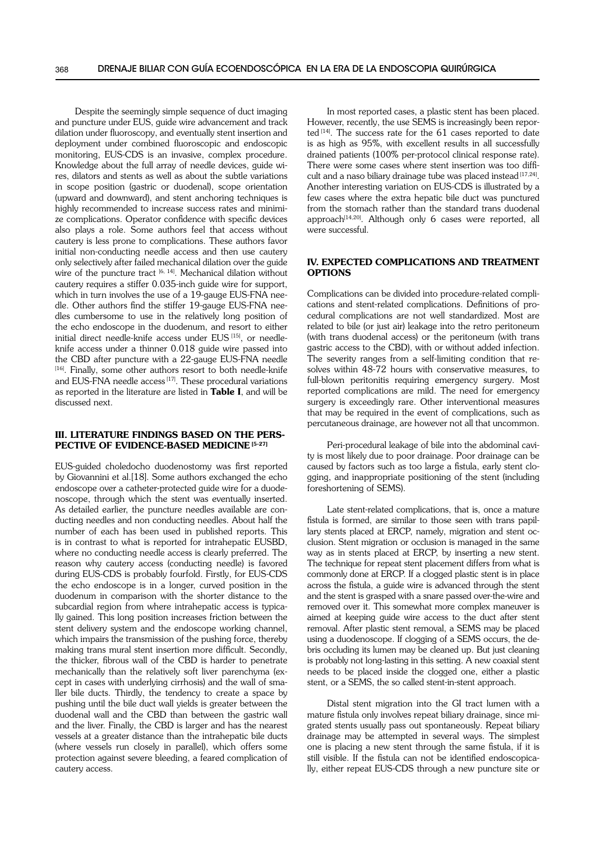Despite the seemingly simple sequence of duct imaging and puncture under EUS, guide wire advancement and track dilation under fluoroscopy, and eventually stent insertion and deployment under combined fluoroscopic and endoscopic monitoring, EUS-CDS is an invasive, complex procedure. Knowledge about the full array of needle devices, guide wires, dilators and stents as well as about the subtle variations in scope position (gastric or duodenal), scope orientation (upward and downward), and stent anchoring techniques is highly recommended to increase success rates and minimize complications. Operator confidence with specific devices also plays a role. Some authors feel that access without cautery is less prone to complications. These authors favor initial non-conducting needle access and then use cautery only selectively after failed mechanical dilation over the guide wire of the puncture tract  $[6, 14]$ . Mechanical dilation without cautery requires a stiffer 0.035-inch guide wire for support, which in turn involves the use of a 19-gauge EUS-FNA needle. Other authors find the stiffer 19-gauge EUS-FNA needles cumbersome to use in the relatively long position of the echo endoscope in the duodenum, and resort to either initial direct needle-knife access under EUS<sup>[15]</sup>, or needleknife access under a thinner 0.018 guide wire passed into the CBD after puncture with a 22-gauge EUS-FNA needle [16]. Finally, some other authors resort to both needle-knife and EUS-FNA needle access<sup>[17]</sup>. These procedural variations as reported in the literature are listed in Table I, and will be discussed next.

## III. Literature findings based on the pers-PECTIVE OF EVIDENCE-BASED MEDICINE [5-27]

EUS-guided choledocho duodenostomy was first reported by Giovannini et al.[18]. Some authors exchanged the echo endoscope over a catheter-protected guide wire for a duodenoscope, through which the stent was eventually inserted. As detailed earlier, the puncture needles available are conducting needles and non conducting needles. About half the number of each has been used in published reports. This is in contrast to what is reported for intrahepatic EUSBD, where no conducting needle access is clearly preferred. The reason why cautery access (conducting needle) is favored during EUS-CDS is probably fourfold. Firstly, for EUS-CDS the echo endoscope is in a longer, curved position in the duodenum in comparison with the shorter distance to the subcardial region from where intrahepatic access is typically gained. This long position increases friction between the stent delivery system and the endoscope working channel, which impairs the transmission of the pushing force, thereby making trans mural stent insertion more difficult. Secondly, the thicker, fibrous wall of the CBD is harder to penetrate mechanically than the relatively soft liver parenchyma (except in cases with underlying cirrhosis) and the wall of smaller bile ducts. Thirdly, the tendency to create a space by pushing until the bile duct wall yields is greater between the duodenal wall and the CBD than between the gastric wall and the liver. Finally, the CBD is larger and has the nearest vessels at a greater distance than the intrahepatic bile ducts (where vessels run closely in parallel), which offers some protection against severe bleeding, a feared complication of cautery access.

In most reported cases, a plastic stent has been placed. However, recently, the use SEMS is increasingly been reported <a>[14]</a>. The success rate for the 61 cases reported to date is as high as 95%, with excellent results in all successfully drained patients (100% per-protocol clinical response rate). There were some cases where stent insertion was too difficult and a naso biliary drainage tube was placed instead [17,24]. Another interesting variation on EUS-CDS is illustrated by a few cases where the extra hepatic bile duct was punctured from the stomach rather than the standard trans duodenal approach<sup>[14,20]</sup>. Although only  $6$  cases were reported, all were successful.

#### IV. Expected complications and treatment options

Complications can be divided into procedure-related complications and stent-related complications. Definitions of procedural complications are not well standardized. Most are related to bile (or just air) leakage into the retro peritoneum (with trans duodenal access) or the peritoneum (with trans gastric access to the CBD), with or without added infection. The severity ranges from a self-limiting condition that resolves within 48-72 hours with conservative measures, to full-blown peritonitis requiring emergency surgery. Most reported complications are mild. The need for emergency surgery is exceedingly rare. Other interventional measures that may be required in the event of complications, such as percutaneous drainage, are however not all that uncommon.

Peri-procedural leakage of bile into the abdominal cavity is most likely due to poor drainage. Poor drainage can be caused by factors such as too large a fistula, early stent clogging, and inappropriate positioning of the stent (including foreshortening of SEMS).

Late stent-related complications, that is, once a mature fistula is formed, are similar to those seen with trans papillary stents placed at ERCP, namely, migration and stent occlusion. Stent migration or occlusion is managed in the same way as in stents placed at ERCP, by inserting a new stent. The technique for repeat stent placement differs from what is commonly done at ERCP. If a clogged plastic stent is in place across the fistula, a guide wire is advanced through the stent and the stent is grasped with a snare passed over-the-wire and removed over it. This somewhat more complex maneuver is aimed at keeping guide wire access to the duct after stent removal. After plastic stent removal, a SEMS may be placed using a duodenoscope. If clogging of a SEMS occurs, the debris occluding its lumen may be cleaned up. But just cleaning is probably not long-lasting in this setting. A new coaxial stent needs to be placed inside the clogged one, either a plastic stent, or a SEMS, the so called stent-in-stent approach.

Distal stent migration into the GI tract lumen with a mature fistula only involves repeat biliary drainage, since migrated stents usually pass out spontaneously. Repeat biliary drainage may be attempted in several ways. The simplest one is placing a new stent through the same fistula, if it is still visible. If the fistula can not be identified endoscopically, either repeat EUS-CDS through a new puncture site or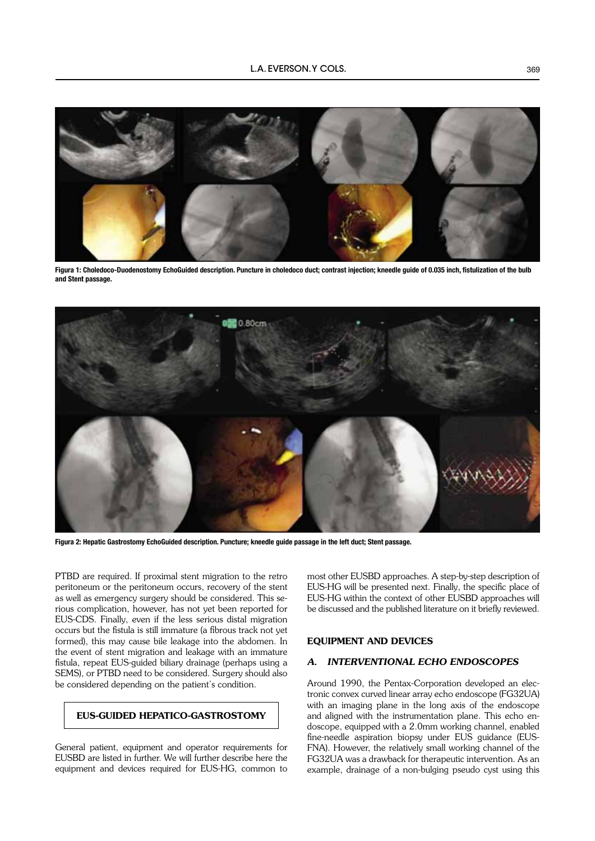

Figura 1: Choledoco-Duodenostomy EchoGuided description. Puncture in choledoco duct; contrast injection; kneedle guide of 0.035 inch, fistulization of the bulb and Stent passage.



Figura 2: Hepatic Gastrostomy EchoGuided description. Puncture; kneedle guide passage in the left duct; Stent passage.

PTBD are required. If proximal stent migration to the retro peritoneum or the peritoneum occurs, recovery of the stent as well as emergency surgery should be considered. This serious complication, however, has not yet been reported for EUS-CDS. Finally, even if the less serious distal migration occurs but the fistula is still immature (a fibrous track not yet formed), this may cause bile leakage into the abdomen. In the event of stent migration and leakage with an immature fistula, repeat EUS-guided biliary drainage (perhaps using a SEMS), or PTBD need to be considered. Surgery should also be considered depending on the patient's condition.

## EUS-guided Hepatico-gastrostomy

General patient, equipment and operator requirements for EUSBD are listed in further. We will further describe here the equipment and devices required for EUS-HG, common to

most other EUSBD approaches. A step-by-step description of EUS-HG will be presented next. Finally, the specific place of EUS-HG within the context of other EUSBD approaches will be discussed and the published literature on it briefly reviewed.

#### EQUIPMENT AND DEVICES

## *A. INTERVENTIONAL ECHO ENDOSCOPES*

Around 1990, the Pentax-Corporation developed an electronic convex curved linear array echo endoscope (FG32UA) with an imaging plane in the long axis of the endoscope and aligned with the instrumentation plane. This echo endoscope, equipped with a 2.0mm working channel, enabled fine-needle aspiration biopsy under EUS guidance (EUS-FNA). However, the relatively small working channel of the FG32UA was a drawback for therapeutic intervention. As an example, drainage of a non-bulging pseudo cyst using this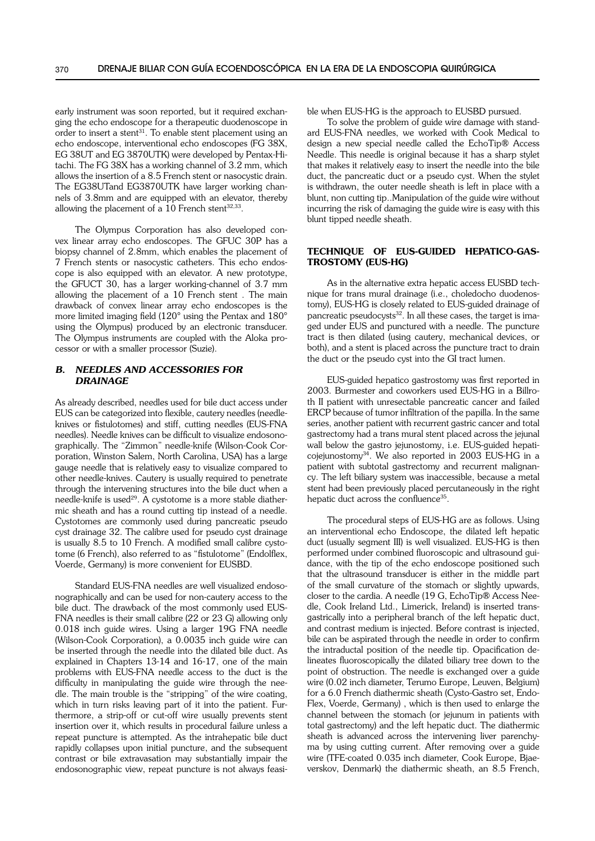early instrument was soon reported, but it required exchanging the echo endoscope for a therapeutic duodenoscope in order to insert a stent<sup>31</sup>. To enable stent placement using an echo endoscope, interventional echo endoscopes (FG 38X, EG 38UT and EG 3870UTK) were developed by Pentax-Hitachi. The FG 38X has a working channel of 3.2 mm, which allows the insertion of a 8.5 French stent or nasocystic drain. The EG38UTand EG3870UTK have larger working channels of 3.8mm and are equipped with an elevator, thereby allowing the placement of a  $10$  French stent $32,33$ .

The Olympus Corporation has also developed convex linear array echo endoscopes. The GFUC 30P has a biopsy channel of 2.8mm, which enables the placement of 7 French stents or nasocystic catheters. This echo endoscope is also equipped with an elevator. A new prototype, the GFUCT 30, has a larger working-channel of 3.7 mm allowing the placement of a 10 French stent . The main drawback of convex linear array echo endoscopes is the more limited imaging field (120° using the Pentax and 180° using the Olympus) produced by an electronic transducer. The Olympus instruments are coupled with the Aloka processor or with a smaller processor (Suzie).

## *B. NEEDLES AND ACCESSORIES FOR DRAINAGE*

As already described, needles used for bile duct access under EUS can be categorized into flexible, cautery needles (needleknives or fistulotomes) and stiff, cutting needles (EUS-FNA needles). Needle knives can be difficult to visualize endosonographically. The "Zimmon" needle-knife (Wilson-Cook Corporation, Winston Salem, North Carolina, USA) has a large gauge needle that is relatively easy to visualize compared to other needle-knives. Cautery is usually required to penetrate through the intervening structures into the bile duct when a needle-knife is used<sup>29</sup>. A cystotome is a more stable diathermic sheath and has a round cutting tip instead of a needle. Cystotomes are commonly used during pancreatic pseudo cyst drainage 32. The calibre used for pseudo cyst drainage is usually 8.5 to 10 French. A modified small calibre cystotome (6 French), also referred to as "fistulotome" (Endolflex, Voerde, Germany) is more convenient for EUSBD.

Standard EUS-FNA needles are well visualized endosonographically and can be used for non-cautery access to the bile duct. The drawback of the most commonly used EUS-FNA needles is their small calibre (22 or 23 G) allowing only 0.018 inch guide wires. Using a larger 19G FNA needle (Wilson-Cook Corporation), a 0.0035 inch guide wire can be inserted through the needle into the dilated bile duct. As explained in Chapters 13-14 and 16-17, one of the main problems with EUS-FNA needle access to the duct is the difficulty in manipulating the guide wire through the needle. The main trouble is the "stripping" of the wire coating, which in turn risks leaving part of it into the patient. Furthermore, a strip-off or cut-off wire usually prevents stent insertion over it, which results in procedural failure unless a repeat puncture is attempted. As the intrahepatic bile duct rapidly collapses upon initial puncture, and the subsequent contrast or bile extravasation may substantially impair the endosonographic view, repeat puncture is not always feasible when EUS-HG is the approach to EUSBD pursued.

To solve the problem of guide wire damage with standard EUS-FNA needles, we worked with Cook Medical to design a new special needle called the EchoTip® Access Needle. This needle is original because it has a sharp stylet that makes it relatively easy to insert the needle into the bile duct, the pancreatic duct or a pseudo cyst. When the stylet is withdrawn, the outer needle sheath is left in place with a blunt, non cutting tip..Manipulation of the guide wire without incurring the risk of damaging the guide wire is easy with this blunt tipped needle sheath.

## TECHNIQUE OF EUS-GUIDED HEPATICO-GAS-TROSTOMY (EUS-HG)

As in the alternative extra hepatic access EUSBD technique for trans mural drainage (i.e., choledocho duodenostomy), EUS-HG is closely related to EUS-guided drainage of pancreatic pseudocysts<sup>32</sup>. In all these cases, the target is imaged under EUS and punctured with a needle. The puncture tract is then dilated (using cautery, mechanical devices, or both), and a stent is placed across the puncture tract to drain the duct or the pseudo cyst into the GI tract lumen.

EUS-guided hepatico gastrostomy was first reported in 2003. Burmester and coworkers used EUS-HG in a Billroth II patient with unresectable pancreatic cancer and failed ERCP because of tumor infiltration of the papilla. In the same series, another patient with recurrent gastric cancer and total gastrectomy had a trans mural stent placed across the jejunal wall below the gastro jejunostomy, i.e. EUS-guided hepaticojejunostomy34. We also reported in 2003 EUS-HG in a patient with subtotal gastrectomy and recurrent malignancy. The left biliary system was inaccessible, because a metal stent had been previously placed percutaneously in the right hepatic duct across the confluence<sup>35</sup>.

The procedural steps of EUS-HG are as follows. Using an interventional echo Endoscope, the dilated left hepatic duct (usually segment III) is well visualized. EUS-HG is then performed under combined fluoroscopic and ultrasound guidance, with the tip of the echo endoscope positioned such that the ultrasound transducer is either in the middle part of the small curvature of the stomach or slightly upwards, closer to the cardia. A needle (19 G, EchoTip® Access Needle, Cook Ireland Ltd., Limerick, Ireland) is inserted transgastrically into a peripheral branch of the left hepatic duct, and contrast medium is injected. Before contrast is injected, bile can be aspirated through the needle in order to confirm the intraductal position of the needle tip. Opacification delineates fluoroscopically the dilated biliary tree down to the point of obstruction. The needle is exchanged over a guide wire (0.02 inch diameter, Terumo Europe, Leuven, Belgium) for a 6.0 French diathermic sheath (Cysto-Gastro set, Endo-Flex, Voerde, Germany) , which is then used to enlarge the channel between the stomach (or jejunum in patients with total gastrectomy) and the left hepatic duct. The diathermic sheath is advanced across the intervening liver parenchyma by using cutting current. After removing over a guide wire (TFE-coated 0.035 inch diameter, Cook Europe, Bjaeverskov, Denmark) the diathermic sheath, an 8.5 French,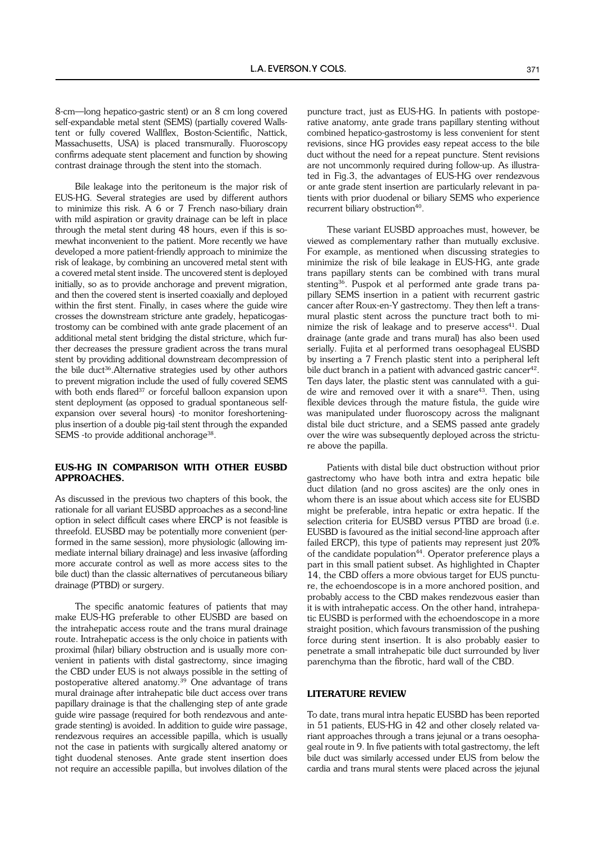8-cm—long hepatico-gastric stent) or an 8 cm long covered self-expandable metal stent (SEMS) (partially covered Wallstent or fully covered Wallflex, Boston-Scientific, Nattick, Massachusetts, USA) is placed transmurally. Fluoroscopy confirms adequate stent placement and function by showing contrast drainage through the stent into the stomach.

Bile leakage into the peritoneum is the major risk of EUS-HG. Several strategies are used by different authors to minimize this risk. A 6 or 7 French naso-biliary drain with mild aspiration or gravity drainage can be left in place through the metal stent during 48 hours, even if this is somewhat inconvenient to the patient. More recently we have developed a more patient-friendly approach to minimize the risk of leakage, by combining an uncovered metal stent with a covered metal stent inside. The uncovered stent is deployed initially, so as to provide anchorage and prevent migration, and then the covered stent is inserted coaxially and deployed within the first stent. Finally, in cases where the guide wire crosses the downstream stricture ante gradely, hepaticogastrostomy can be combined with ante grade placement of an additional metal stent bridging the distal stricture, which further decreases the pressure gradient across the trans mural stent by providing additional downstream decompression of the bile duct<sup>36</sup>. Alternative strategies used by other authors to prevent migration include the used of fully covered SEMS with both ends flared<sup>37</sup> or forceful balloon expansion upon stent deployment (as opposed to gradual spontaneous selfexpansion over several hours) -to monitor foreshorteningplus insertion of a double pig-tail stent through the expanded SEMS -to provide additional anchorage<sup>38</sup>.

## EUS-HG IN COMPARISON WITH OTHER EUSBD APPROACHES.

As discussed in the previous two chapters of this book, the rationale for all variant EUSBD approaches as a second-line option in select difficult cases where ERCP is not feasible is threefold. EUSBD may be potentially more convenient (performed in the same session), more physiologic (allowing immediate internal biliary drainage) and less invasive (affording more accurate control as well as more access sites to the bile duct) than the classic alternatives of percutaneous biliary drainage (PTBD) or surgery.

The specific anatomic features of patients that may make EUS-HG preferable to other EUSBD are based on the intrahepatic access route and the trans mural drainage route. Intrahepatic access is the only choice in patients with proximal (hilar) biliary obstruction and is usually more convenient in patients with distal gastrectomy, since imaging the CBD under EUS is not always possible in the setting of postoperative altered anatomy.39 One advantage of trans mural drainage after intrahepatic bile duct access over trans papillary drainage is that the challenging step of ante grade guide wire passage (required for both rendezvous and antegrade stenting) is avoided. In addition to guide wire passage, rendezvous requires an accessible papilla, which is usually not the case in patients with surgically altered anatomy or tight duodenal stenoses. Ante grade stent insertion does not require an accessible papilla, but involves dilation of the

puncture tract, just as EUS-HG. In patients with postoperative anatomy, ante grade trans papillary stenting without combined hepatico-gastrostomy is less convenient for stent revisions, since HG provides easy repeat access to the bile duct without the need for a repeat puncture. Stent revisions are not uncommonly required during follow-up. As illustrated in Fig.3, the advantages of EUS-HG over rendezvous or ante grade stent insertion are particularly relevant in patients with prior duodenal or biliary SEMS who experience recurrent biliary obstruction<sup>40</sup>.

These variant EUSBD approaches must, however, be viewed as complementary rather than mutually exclusive. For example, as mentioned when discussing strategies to minimize the risk of bile leakage in EUS-HG, ante grade trans papillary stents can be combined with trans mural stenting36. Puspok et al performed ante grade trans papillary SEMS insertion in a patient with recurrent gastric cancer after Roux-en-Y gastrectomy. They then left a transmural plastic stent across the puncture tract both to minimize the risk of leakage and to preserve  $access<sup>41</sup>$ . Dual drainage (ante grade and trans mural) has also been used serially. Fujita et al performed trans oesophageal EUSBD by inserting a 7 French plastic stent into a peripheral left bile duct branch in a patient with advanced gastric cancer<sup>42</sup>. Ten days later, the plastic stent was cannulated with a guide wire and removed over it with a snare<sup>43</sup>. Then, using flexible devices through the mature fistula, the guide wire was manipulated under fluoroscopy across the malignant distal bile duct stricture, and a SEMS passed ante gradely over the wire was subsequently deployed across the stricture above the papilla.

Patients with distal bile duct obstruction without prior gastrectomy who have both intra and extra hepatic bile duct dilation (and no gross ascites) are the only ones in whom there is an issue about which access site for EUSBD might be preferable, intra hepatic or extra hepatic. If the selection criteria for EUSBD versus PTBD are broad (i.e. EUSBD is favoured as the initial second-line approach after failed ERCP), this type of patients may represent just 20% of the candidate population<sup>44</sup>. Operator preference plays a part in this small patient subset. As highlighted in Chapter 14, the CBD offers a more obvious target for EUS puncture, the echoendoscope is in a more anchored position, and probably access to the CBD makes rendezvous easier than it is with intrahepatic access. On the other hand, intrahepatic EUSBD is performed with the echoendoscope in a more straight position, which favours transmission of the pushing force during stent insertion. It is also probably easier to penetrate a small intrahepatic bile duct surrounded by liver parenchyma than the fibrotic, hard wall of the CBD.

## LITERATURE REVIEW

To date, trans mural intra hepatic EUSBD has been reported in 51 patients, EUS-HG in 42 and other closely related variant approaches through a trans jejunal or a trans oesophageal route in 9. In five patients with total gastrectomy, the left bile duct was similarly accessed under EUS from below the cardia and trans mural stents were placed across the jejunal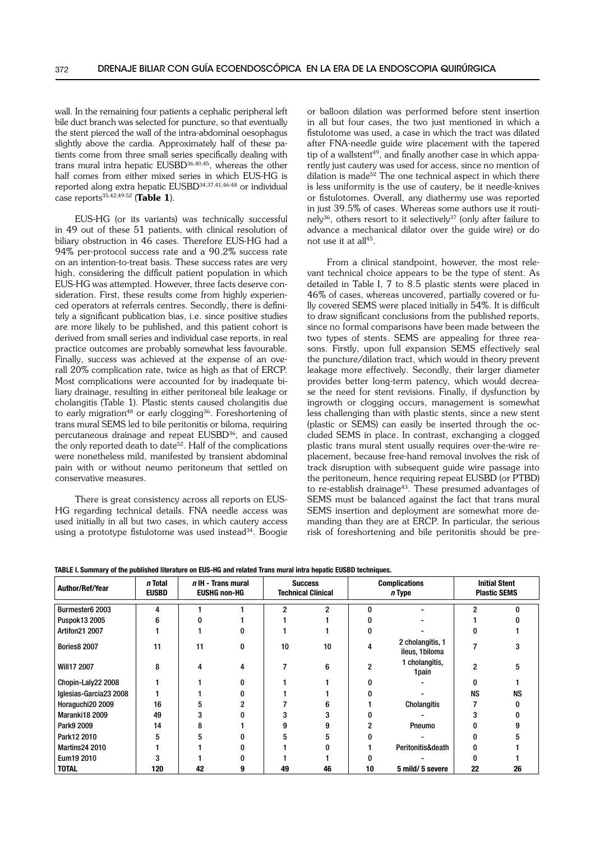wall. In the remaining four patients a cephalic peripheral left bile duct branch was selected for puncture, so that eventually the stent pierced the wall of the intra-abdominal oesophagus slightly above the cardia. Approximately half of these patients come from three small series specifically dealing with trans mural intra hepatic EUSBD36,40,45, whereas the other half comes from either mixed series in which EUS-HG is reported along extra hepatic EUSBD34,37,41,46-48 or individual case reports $35,42,49.52$  (Table 1).

EUS-HG (or its variants) was technically successful in 49 out of these 51 patients, with clinical resolution of biliary obstruction in 46 cases. Therefore EUS-HG had a 94% per-protocol success rate and a 90.2% success rate on an intention-to-treat basis. These success rates are very high, considering the difficult patient population in which EUS-HG was attempted. However, three facts deserve consideration. First, these results come from highly experienced operators at referrals centres. Secondly, there is definitely a significant publication bias, i.e. since positive studies are more likely to be published, and this patient cohort is derived from small series and individual case reports, in real practice outcomes are probably somewhat less favourable. Finally, success was achieved at the expense of an overall 20% complication rate, twice as high as that of ERCP. Most complications were accounted for by inadequate biliary drainage, resulting in either peritoneal bile leakage or cholangitis (Table 1). Plastic stents caused cholangitis due to early migration<sup>48</sup> or early clogging<sup>36</sup>. Foreshortening of trans mural SEMS led to bile peritonitis or biloma, requiring percutaneous drainage and repeat EUSBD36, and caused the only reported death to date<sup>52</sup>. Half of the complications were nonetheless mild, manifested by transient abdominal pain with or without neumo peritoneum that settled on conservative measures.

There is great consistency across all reports on EUS-HG regarding technical details. FNA needle access was used initially in all but two cases, in which cautery access using a prototype fistulotome was used instead<sup>34</sup>. Boogie

or balloon dilation was performed before stent insertion in all but four cases, the two just mentioned in which a fistulotome was used, a case in which the tract was dilated after FNA-needle guide wire placement with the tapered tip of a wallstent<sup>49</sup>, and finally another case in which apparently just cautery was used for access, since no mention of dilation is made<sup>52</sup> The one technical aspect in which there is less uniformity is the use of cautery, be it needle-knives or fistulotomes. Overall, any diathermy use was reported in just 39.5% of cases. Whereas some authors use it routinely<sup>36</sup>, others resort to it selectively<sup>37</sup> (only after failure to advance a mechanical dilator over the guide wire) or do not use it at all<sup>45</sup>.

From a clinical standpoint, however, the most relevant technical choice appears to be the type of stent. As detailed in Table I, 7 to 8.5 plastic stents were placed in 46% of cases, whereas uncovered, partially covered or fully covered SEMS were placed initially in 54%. It is difficult to draw significant conclusions from the published reports, since no formal comparisons have been made between the two types of stents. SEMS are appealing for three reasons. Firstly, upon full expansion SEMS effectively seal the puncture/dilation tract, which would in theory prevent leakage more effectively. Secondly, their larger diameter provides better long-term patency, which would decrease the need for stent revisions. Finally, if dysfunction by ingrowth or clogging occurs, management is somewhat less challenging than with plastic stents, since a new stent (plastic or SEMS) can easily be inserted through the occluded SEMS in place. In contrast, exchanging a clogged plastic trans mural stent usually requires over-the-wire replacement, because free-hand removal involves the risk of track disruption with subsequent guide wire passage into the peritoneum, hence requiring repeat EUSBD (or PTBD) to re-establish drainage<sup>43</sup>. These presumed advantages of SEMS must be balanced against the fact that trans mural SEMS insertion and deployment are somewhat more demanding than they are at ERCP. In particular, the serious risk of foreshortening and bile peritonitis should be pre-

| Author/Ref/Year        | n Total<br><b>EUSBD</b> | $n$ IH - Trans mural<br><b>EUSHG non-HG</b> |   | <b>Success</b><br><b>Technical Clinical</b> |    | <b>Complications</b><br>n Type |                                    | <b>Initial Stent</b><br><b>Plastic SEMS</b> |    |
|------------------------|-------------------------|---------------------------------------------|---|---------------------------------------------|----|--------------------------------|------------------------------------|---------------------------------------------|----|
| Burmester6 2003        |                         |                                             |   |                                             | ŋ  | n                              |                                    | 2                                           |    |
| Puspok13 2005          |                         |                                             |   |                                             |    |                                |                                    |                                             |    |
| <b>Artifon21 2007</b>  |                         |                                             |   |                                             |    |                                |                                    |                                             |    |
| <b>Bories8 2007</b>    | 11                      | 11                                          | 0 | 10                                          | 10 | 4                              | 2 cholangitis, 1<br>ileus, 1biloma |                                             |    |
| Will17 2007            | 8                       | 4                                           | 4 |                                             | 6  | 2                              | 1 cholangitis,<br>1 pain           | 2                                           |    |
| Chopin-Laly22 2008     |                         |                                             |   |                                             |    |                                |                                    |                                             |    |
| Iglesias-Garcia23 2008 |                         |                                             |   |                                             |    |                                |                                    | ΝS                                          | ΝS |
| Horaguchi20 2009       | 16                      |                                             |   |                                             |    |                                | Cholangitis                        |                                             |    |
| Maranki18 2009         | 49                      |                                             |   |                                             |    |                                |                                    |                                             |    |
| Park9 2009             | 14                      | 8                                           |   |                                             |    |                                | Pneumo                             |                                             |    |
| Park12 2010            |                         | 5                                           |   |                                             |    |                                |                                    |                                             |    |
| <b>Martins24 2010</b>  |                         |                                             |   |                                             |    |                                | Peritonitis&death                  |                                             |    |
| Eum19 2010             |                         |                                             |   |                                             |    |                                |                                    |                                             |    |
| <b>TOTAL</b>           | 120                     | 42                                          |   | 49                                          | 46 | 10                             | 5 mild/ 5 severe                   | 22                                          | 26 |

TABLE I. Summary of the published literature on EUS-HG and related Trans mural intra hepatic EUSBD techniques.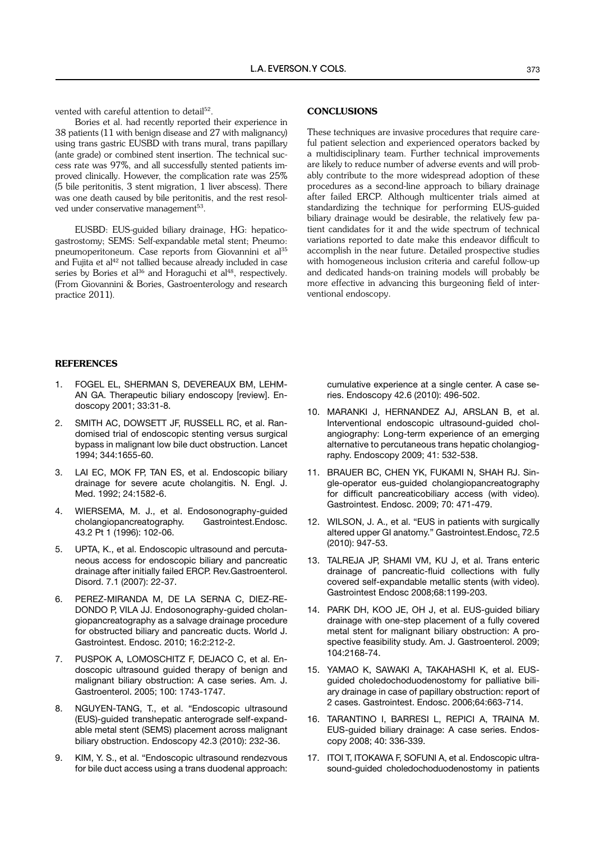vented with careful attention to detail<sup>52</sup>.

Bories et al. had recently reported their experience in 38 patients (11 with benign disease and 27 with malignancy) using trans gastric EUSBD with trans mural, trans papillary (ante grade) or combined stent insertion. The technical success rate was 97%, and all successfully stented patients improved clinically. However, the complication rate was 25% (5 bile peritonitis, 3 stent migration, 1 liver abscess). There was one death caused by bile peritonitis, and the rest resolved under conservative management<sup>53</sup>.

EUSBD: EUS-guided biliary drainage, HG: hepaticogastrostomy; SEMS: Self-expandable metal stent; Pneumo: pneumoperitoneum. Case reports from Giovannini et al<sup>35</sup> and Fujita et al<sup>42</sup> not tallied because already included in case series by Bories et al<sup>36</sup> and Horaguchi et al<sup>48</sup>, respectively. (From Giovannini & Bories, Gastroenterology and research practice 2011).

#### **CONCLUSIONS**

These techniques are invasive procedures that require careful patient selection and experienced operators backed by a multidisciplinary team. Further technical improvements are likely to reduce number of adverse events and will probably contribute to the more widespread adoption of these procedures as a second-line approach to biliary drainage after failed ERCP. Although multicenter trials aimed at standardizing the technique for performing EUS-guided biliary drainage would be desirable, the relatively few patient candidates for it and the wide spectrum of technical variations reported to date make this endeavor difficult to accomplish in the near future. Detailed prospective studies with homogeneous inclusion criteria and careful follow-up and dedicated hands-on training models will probably be more effective in advancing this burgeoning field of interventional endoscopy.

#### **REFERENCES**

- 1. Fogel EL, Sherman S, Devereaux BM, Lehman GA. Therapeutic biliary endoscopy [review]. Endoscopy 2001; 33:31-8.
- 2. Smith AC, Dowsett JF, Russell RC, et al. Randomised trial of endoscopic stenting versus surgical bypass in malignant low bile duct obstruction. Lancet 1994; 344:1655-60.
- 3. Lai EC, Mok FP, Tan ES, et al. Endoscopic biliary drainage for severe acute cholangitis. N. Engl. J. Med. 1992; 24:1582-6.
- 4. WIERSEMA, M. J., et al. Endosonography-guided cholangiopancreatography. Gastrointest.Endosc. 43.2 Pt 1 (1996): 102-06.
- 5. UPTA, K., et al. Endoscopic ultrasound and percutaneous access for endoscopic biliary and pancreatic drainage after initially failed ERCP. Rev.Gastroenterol. Disord. 7.1 (2007): 22-37.
- 6. Perez-Miranda M, de la Serna C, Diez-Re-DONDO P, VILA JJ. Endosonography-guided cholangiopancreatography as a salvage drainage procedure for obstructed biliary and pancreatic ducts. World J. Gastrointest. Endosc. 2010; 16:2:212-2.
- 7. Puspok A, Lomoschitz F, Dejaco C, et al. Endoscopic ultrasound guided therapy of benign and malignant biliary obstruction: A case series. Am. J. Gastroenterol. 2005; 100: 1743-1747.
- 8. Nguyen-Tang, T., et al. "Endoscopic ultrasound (EUS)-guided transhepatic anterograde self-expandable metal stent (SEMS) placement across malignant biliary obstruction. Endoscopy 42.3 (2010): 232-36.
- 9. Kim, Y. S., et al. "Endoscopic ultrasound rendezvous for bile duct access using a trans duodenal approach:

cumulative experience at a single center. A case series. Endoscopy 42.6 (2010): 496-502.

- 10. Maranki J, Hernandez AJ, Arslan B, et al. Interventional endoscopic ultrasound-guided cholangiography: Long-term experience of an emerging alternative to percutaneous trans hepatic cholangiography. Endoscopy 2009; 41: 532-538.
- 11. Brauer BC, Chen YK, Fukami N, Shah RJ. Single-operator eus-guided cholangiopancreatography for difficult pancreaticobiliary access (with video). Gastrointest. Endosc. 2009; 70: 471-479.
- 12. Wilson, J. A., et al. "EUS in patients with surgically altered upper GI anatomy." Gastrointest.Endosc. 72.5 (2010): 947-53.
- 13. TALREJA JP, SHAMI VM, KU J, et al. Trans enteric drainage of pancreatic-fluid collections with fully covered self-expandable metallic stents (with video). Gastrointest Endosc 2008;68:1199-203.
- 14. Park DH, Koo JE, Oh J, et al. EUS-guided biliary drainage with one-step placement of a fully covered metal stent for malignant biliary obstruction: A prospective feasibility study. Am. J. Gastroenterol. 2009; 104:2168-74.
- 15. Yamao K, Sawaki A, Takahashi K, et al. EUSguided choledochoduodenostomy for palliative biliary drainage in case of papillary obstruction: report of 2 cases. Gastrointest. Endosc. 2006;64:663-714.
- 16. Tarantino I, Barresi L, Repici A, Traina M. EUS-guided biliary drainage: A case series. Endoscopy 2008; 40: 336-339.
- 17. ITOI T, ITOKAWA F, SOFUNI A, et al. Endoscopic ultrasound-guided choledochoduodenostomy in patients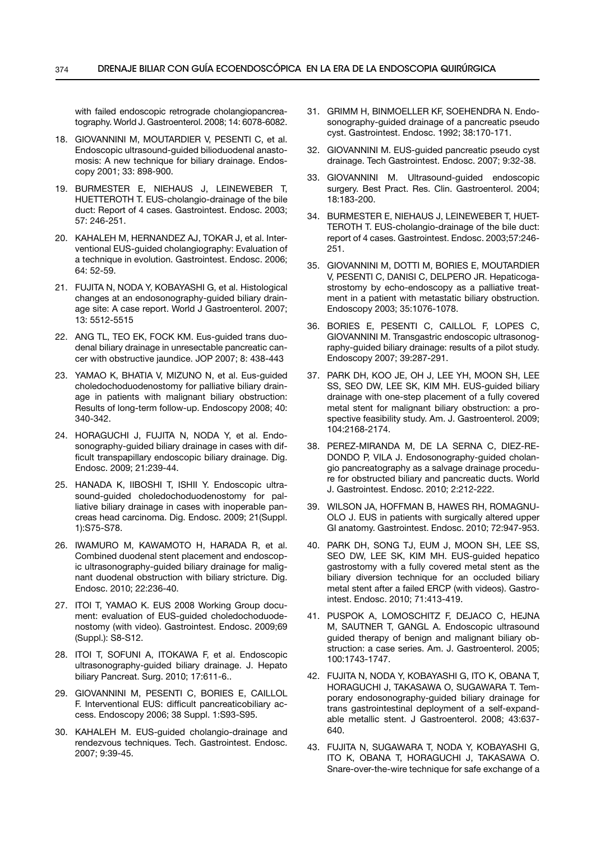with failed endoscopic retrograde cholangiopancreatography. World J. Gastroenterol. 2008; 14: 6078-6082.

- 18. Giovannini M, Moutardier V, Pesenti C, et al. Endoscopic ultrasound-guided bilioduodenal anastomosis: A new technique for biliary drainage. Endoscopy 2001; 33: 898-900.
- 19. Burmester E, Niehaus J, Leineweber T, HUETTEROTH T. EUS-cholangio-drainage of the bile duct: Report of 4 cases. Gastrointest. Endosc. 2003; 57: 246-251.
- 20. Kahaleh M, Hernandez AJ, Tokar J, et al. Interventional EUS-guided cholangiography: Evaluation of a technique in evolution. Gastrointest. Endosc. 2006; 64: 52-59.
- 21. FUJITA N, NODA Y, KOBAYASHI G, et al. Histological changes at an endosonography-guided biliary drainage site: A case report. World J Gastroenterol. 2007; 13: 5512-5515
- 22. Ang TL, Teo EK, Fock KM. Eus-guided trans duodenal biliary drainage in unresectable pancreatic cancer with obstructive jaundice. JOP 2007; 8: 438-443
- 23. YAMAO K, BHATIA V, MIZUNO N, et al. Eus-guided choledochoduodenostomy for palliative biliary drainage in patients with malignant biliary obstruction: Results of long-term follow-up. Endoscopy 2008; 40: 340-342.
- 24. Horaguchi J, Fujita N, Noda Y, et al. Endosonography-guided biliary drainage in cases with difficult transpapillary endoscopic biliary drainage. Dig. Endosc. 2009; 21:239-44.
- 25. Hanada K, Iiboshi T, Ishii Y. Endoscopic ultrasound-guided choledochoduodenostomy for palliative biliary drainage in cases with inoperable pancreas head carcinoma. Dig. Endosc. 2009; 21(Suppl. 1):S75-S78.
- 26. Iwamuro M, Kawamoto H, Harada R, et al. Combined duodenal stent placement and endoscopic ultrasonography-guided biliary drainage for malignant duodenal obstruction with biliary stricture. Dig. Endosc. 2010; 22:236-40.
- 27. ITOI T, YAMAO K. EUS 2008 Working Group document: evaluation of EUS-guided choledochoduodenostomy (with video). Gastrointest. Endosc. 2009;69 (Suppl.): S8-S12.
- 28. ITOI T, SOFUNI A, ITOKAWA F, et al. Endoscopic ultrasonography-guided biliary drainage. J. Hepato biliary Pancreat. Surg. 2010; 17:611-6..
- 29. Giovannini M, Pesenti C, Bories E, Caillol F. Interventional EUS: difficult pancreaticobiliary access. Endoscopy 2006; 38 Suppl. 1:S93-S95.
- 30. Kahaleh M. EUS-guided cholangio-drainage and rendezvous techniques. Tech. Gastrointest. Endosc. 2007; 9:39-45.
- 31. Grimm H, Binmoeller KF, Soehendra N. Endosonography-guided drainage of a pancreatic pseudo cyst. Gastrointest. Endosc. 1992; 38:170-171.
- 32. Giovannini M. EUS-guided pancreatic pseudo cyst drainage. Tech Gastrointest. Endosc. 2007; 9:32-38.
- 33. Giovannini M. Ultrasound-guided endoscopic surgery. Best Pract. Res. Clin. Gastroenterol. 2004; 18:183-200.
- 34. Burmester E, Niehaus J, Leineweber T, Huet-TEROTH T. EUS-cholangio-drainage of the bile duct: report of 4 cases. Gastrointest. Endosc. 2003;57:246- 251.
- 35. Giovannini M, Dotti M, Bories E, Moutardier V, PESENTI C, DANISI C, DELPERO JR. Hepaticogastrostomy by echo-endoscopy as a palliative treatment in a patient with metastatic biliary obstruction. Endoscopy 2003; 35:1076-1078.
- 36. Bories E, Pesenti C, Caillol F, Lopes C, Giovannini M. Transgastric endoscopic ultrasonography-guided biliary drainage: results of a pilot study. Endoscopy 2007; 39:287-291.
- 37. Park DH, Koo JE, Oh J, Lee YH, Moon SH, Lee SS, Seo DW, Lee SK, Kim MH. EUS-guided biliary drainage with one-step placement of a fully covered metal stent for malignant biliary obstruction: a prospective feasibility study. Am. J. Gastroenterol. 2009; 104:2168-2174.
- 38. Perez-Miranda M, De la Serna C, Diez-Re-DONDO P, VILA J. Endosonography-guided cholangio pancreatography as a salvage drainage procedure for obstructed biliary and pancreatic ducts. World J. Gastrointest. Endosc. 2010; 2:212-222.
- 39. Wilson JA, Hoffman B, Hawes RH, Romagnu-OLO J. EUS in patients with surgically altered upper GI anatomy. Gastrointest. Endosc. 2010; 72:947-953.
- 40. Park dH, Song TJ, Eum J, Moon SH, Lee SS, Seo DW, Lee SK, Kim MH. EUS-guided hepatico gastrostomy with a fully covered metal stent as the biliary diversion technique for an occluded biliary metal stent after a failed ERCP (with videos). Gastrointest. Endosc. 2010; 71:413-419.
- 41. Puspok A, Lomoschitz F, Dejaco C, Hejna M, SAUTNER T, GANGL A. Endoscopic ultrasound guided therapy of benign and malignant biliary obstruction: a case series. Am. J. Gastroenterol. 2005; 100:1743-1747.
- 42. Fujita N, Noda Y, Kobayashi G, Ito K, Obana T, Horaguchi J, Takasawa O, Sugawara T. Temporary endosonography-guided biliary drainage for trans gastrointestinal deployment of a self-expandable metallic stent. J Gastroenterol. 2008; 43:637- 640.
- 43. Fujita N, Sugawara T, Noda Y, Kobayashi G, Ito K, Obana T, Horaguchi J, Takasawa O. Snare-over-the-wire technique for safe exchange of a